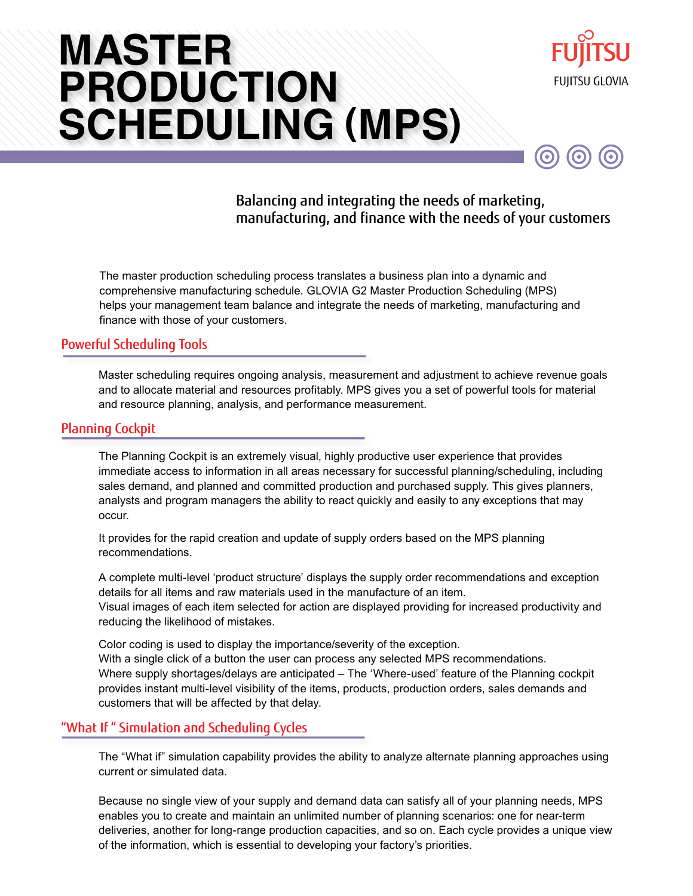# **( ) SCHEDULING MPSMASTER PRODUCTION**



 $\odot$ 

 $\left( \bullet \right)$ 

 $\odot$ 

## Balancing and integrating the needs of marketing, manufacturing, and finance with the needs of your customers

The master production scheduling process translates a business plan into a dynamic and comprehensive manufacturing schedule. GLOVIA G2 Master Production Scheduling (MPS) helps your management team balance and integrate the needs of marketing, manufacturing and finance with those of your customers.

### Powerful Scheduling Tools

Master scheduling requires ongoing analysis, measurement and adjustment to achieve revenue goals and to allocate material and resources profitably. MPS gives you a set of powerful tools for material and resource planning, analysis, and performance measurement.

#### Planning Cockpit

The Planning Cockpit is an extremely visual, highly productive user experience that provides immediate access to information in all areas necessary for successful planning/scheduling, including sales demand, and planned and committed production and purchased supply. This gives planners, analysts and program managers the ability to react quickly and easily to any exceptions that may occur.

It provides for the rapid creation and update of supply orders based on the MPS planning recommendations.

A complete multi-level 'product structure' displays the supply order recommendations and exception details for all items and raw materials used in the manufacture of an item.

Visual images of each item selected for action are displayed providing for increased productivity and reducing the likelihood of mistakes.

Color coding is used to display the importance/severity of the exception. With a single click of a button the user can process any selected MPS recommendations. Where supply shortages/delays are anticipated – The 'Where-used' feature of the Planning cockpit provides instant multi-level visibility of the items, products, production orders, sales demands and customers that will be affected by that delay.

## "What If " Simulation and Scheduling Cycles

The "What if" simulation capability provides the ability to analyze alternate planning approaches using current or simulated data.

Because no single view of your supply and demand data can satisfy all of your planning needs, MPS enables you to create and maintain an unlimited number of planning scenarios: one for near-term deliveries, another for long-range production capacities, and so on. Each cycle provides a unique view of the information, which is essential to developing your factory's priorities.